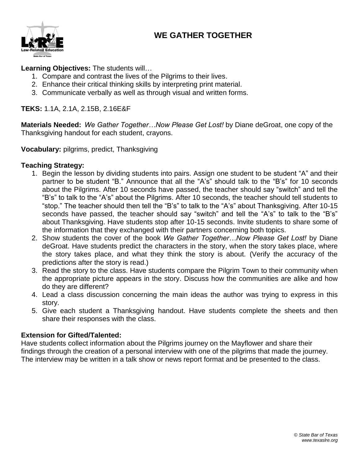# **WE GATHER TOGETHER**



**Learning Objectives:** The students will…

- 1. Compare and contrast the lives of the Pilgrims to their lives.
- 2. Enhance their critical thinking skills by interpreting print material.
- 3. Communicate verbally as well as through visual and written forms.

## **TEKS:** 1.1A, 2.1A, 2.15B, 2.16E&F

**Materials Needed:** *We Gather Together…Now Please Get Lost!* by Diane deGroat, one copy of the Thanksgiving handout for each student, crayons.

**Vocabulary:** pilgrims, predict, Thanksgiving

#### **Teaching Strategy:**

- 1. Begin the lesson by dividing students into pairs. Assign one student to be student "A" and their partner to be student "B." Announce that all the "A's" should talk to the "B's" for 10 seconds about the Pilgrims. After 10 seconds have passed, the teacher should say "switch" and tell the "B's" to talk to the "A's" about the Pilgrims. After 10 seconds, the teacher should tell students to "stop." The teacher should then tell the "B's" to talk to the "A's" about Thanksgiving. After 10-15 seconds have passed, the teacher should say "switch" and tell the "A's" to talk to the "B's" about Thanksgiving. Have students stop after 10-15 seconds. Invite students to share some of the information that they exchanged with their partners concerning both topics.
- 2. Show students the cover of the book *We Gather Together…Now Please Get Lost!* by Diane deGroat. Have students predict the characters in the story, when the story takes place, where the story takes place, and what they think the story is about. (Verify the accuracy of the predictions after the story is read.)
- 3. Read the story to the class. Have students compare the Pilgrim Town to their community when the appropriate picture appears in the story. Discuss how the communities are alike and how do they are different?
- 4. Lead a class discussion concerning the main ideas the author was trying to express in this story.
- 5. Give each student a Thanksgiving handout. Have students complete the sheets and then share their responses with the class.

## **Extension for Gifted/Talented:**

Have students collect information about the Pilgrims journey on the Mayflower and share their findings through the creation of a personal interview with one of the pilgrims that made the journey. The interview may be written in a talk show or news report format and be presented to the class.